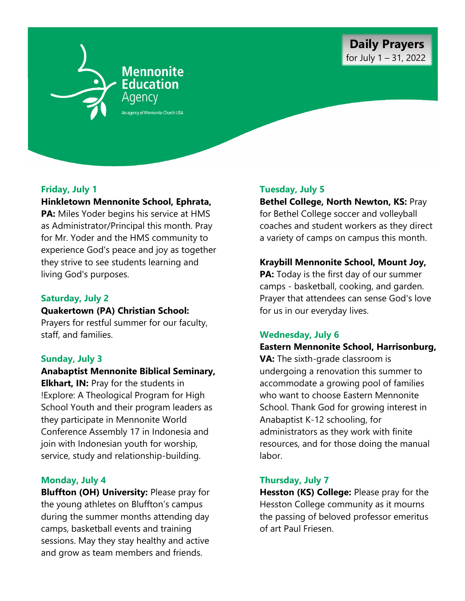

# **Friday, July 1**

## **Hinkletown Mennonite School, Ephrata,**

**PA:** Miles Yoder begins his service at HMS as Administrator/Principal this month. Pray for Mr. Yoder and the HMS community to experience God's peace and joy as together they strive to see students learning and living God's purposes.

# **Saturday, July 2**

### **Quakertown (PA) Christian School:**

Prayers for restful summer for our faculty, staff, and families.

## **Sunday, July 3**

**Anabaptist Mennonite Biblical Seminary, Elkhart, IN: Pray for the students in** !Explore: A Theological Program for High School Youth and their program leaders as they participate in Mennonite World Conference Assembly 17 in Indonesia and join with Indonesian youth for worship, service, study and relationship-building.

## **Monday, July 4**

**Bluffton (OH) University:** Please pray for the young athletes on Bluffton's campus during the summer months attending day camps, basketball events and training sessions. May they stay healthy and active and grow as team members and friends.

# **Tuesday, July 5**

**Bethel College, North Newton, KS:** Pray for Bethel College soccer and volleyball coaches and student workers as they direct a variety of camps on campus this month.

### **Kraybill Mennonite School, Mount Joy,**

**PA:** Today is the first day of our summer camps - basketball, cooking, and garden. Prayer that attendees can sense God's love for us in our everyday lives.

## **Wednesday, July 6**

## **Eastern Mennonite School, Harrisonburg,**

**VA:** The sixth-grade classroom is undergoing a renovation this summer to accommodate a growing pool of families who want to choose Eastern Mennonite School. Thank God for growing interest in Anabaptist K-12 schooling, for administrators as they work with finite resources, and for those doing the manual labor.

#### **Thursday, July 7**

**Hesston (KS) College:** Please pray for the Hesston College community as it mourns the passing of beloved professor emeritus of art Paul Friesen.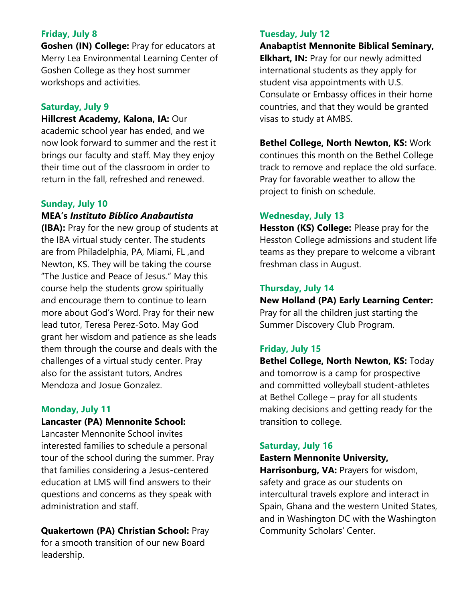# **Friday, July 8**

**Goshen (IN) College:** Pray for educators at Merry Lea Environmental Learning Center of Goshen College as they host summer workshops and activities.

### **Saturday, July 9**

**Hillcrest Academy, Kalona, IA: Our** academic school year has ended, and we now look forward to summer and the rest it brings our faculty and staff. May they enjoy their time out of the classroom in order to return in the fall, refreshed and renewed.

### **Sunday, July 10**

## **MEA's** *Instituto Bíblico Anabautista*

**(IBA):** Pray for the new group of students at the IBA virtual study center. The students are from Philadelphia, PA, Miami, FL ,and Newton, KS. They will be taking the course "The Justice and Peace of Jesus." May this course help the students grow spiritually and encourage them to continue to learn more about God's Word. Pray for their new lead tutor, Teresa Perez-Soto. May God grant her wisdom and patience as she leads them through the course and deals with the challenges of a virtual study center. Pray also for the assistant tutors, Andres Mendoza and Josue Gonzalez.

#### **Monday, July 11**

### **Lancaster (PA) Mennonite School:**

Lancaster Mennonite School invites interested families to schedule a personal tour of the school during the summer. Pray that families considering a Jesus-centered education at LMS will find answers to their questions and concerns as they speak with administration and staff.

**Quakertown (PA) Christian School:** Pray for a smooth transition of our new Board leadership.

### **Tuesday, July 12**

**Anabaptist Mennonite Biblical Seminary, Elkhart, IN: Pray for our newly admitted** international students as they apply for student visa appointments with U.S. Consulate or Embassy offices in their home countries, and that they would be granted visas to study at AMBS.

**Bethel College, North Newton, KS:** Work continues this month on the Bethel College track to remove and replace the old surface. Pray for favorable weather to allow the project to finish on schedule.

#### **Wednesday, July 13**

**Hesston (KS) College:** Please pray for the Hesston College admissions and student life teams as they prepare to welcome a vibrant freshman class in August.

#### **Thursday, July 14**

**New Holland (PA) Early Learning Center:**  Pray for all the children just starting the Summer Discovery Club Program.

## **Friday, July 15**

**Bethel College, North Newton, KS:** Today and tomorrow is a camp for prospective and committed volleyball student-athletes at Bethel College – pray for all students making decisions and getting ready for the transition to college.

#### **Saturday, July 16**

## **Eastern Mennonite University,**

**Harrisonburg, VA:** Prayers for wisdom, safety and grace as our students on intercultural travels explore and interact in Spain, Ghana and the western United States, and in Washington DC with the Washington Community Scholars' Center.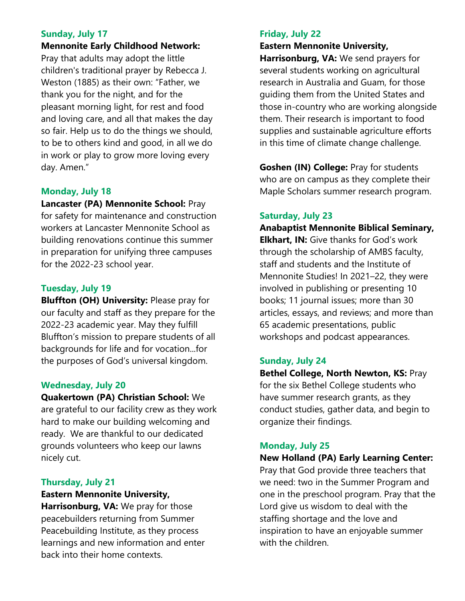# **Sunday, July 17**

**Mennonite Early Childhood Network:** 

Pray that adults may adopt the little children's traditional prayer by Rebecca J. Weston (1885) as their own: "Father, we thank you for the night, and for the pleasant morning light, for rest and food and loving care, and all that makes the day so fair. Help us to do the things we should, to be to others kind and good, in all we do in work or play to grow more loving every day. Amen."

# **Monday, July 18**

### **Lancaster (PA) Mennonite School:** Pray

for safety for maintenance and construction workers at Lancaster Mennonite School as building renovations continue this summer in preparation for unifying three campuses for the 2022-23 school year.

# **Tuesday, July 19**

**Bluffton (OH) University:** Please pray for our faculty and staff as they prepare for the 2022-23 academic year. May they fulfill Bluffton's mission to prepare students of all backgrounds for life and for vocation...for the purposes of God's universal kingdom.

## **Wednesday, July 20**

**Quakertown (PA) Christian School:** We are grateful to our facility crew as they work hard to make our building welcoming and ready. We are thankful to our dedicated grounds volunteers who keep our lawns nicely cut.

# **Thursday, July 21**

**Eastern Mennonite University, Harrisonburg, VA:** We pray for those peacebuilders returning from Summer Peacebuilding Institute, as they process learnings and new information and enter back into their home contexts.

# **Friday, July 22**

### **Eastern Mennonite University,**

**Harrisonburg, VA:** We send prayers for several students working on agricultural research in Australia and Guam, for those guiding them from the United States and those in-country who are working alongside them. Their research is important to food supplies and sustainable agriculture efforts in this time of climate change challenge.

**Goshen (IN) College:** Pray for students who are on campus as they complete their Maple Scholars summer research program.

# **Saturday, July 23**

**Anabaptist Mennonite Biblical Seminary, Elkhart, IN:** Give thanks for God's work through the scholarship of AMBS faculty, staff and students and the Institute of Mennonite Studies! In 2021–22, they were involved in publishing or presenting 10 books; 11 journal issues; more than 30 articles, essays, and reviews; and more than 65 academic presentations, public workshops and podcast appearances.

## **Sunday, July 24**

**Bethel College, North Newton, KS:** Pray for the six Bethel College students who have summer research grants, as they conduct studies, gather data, and begin to organize their findings.

## **Monday, July 25**

#### **New Holland (PA) Early Learning Center:**

Pray that God provide three teachers that we need: two in the Summer Program and one in the preschool program. Pray that the Lord give us wisdom to deal with the staffing shortage and the love and inspiration to have an enjoyable summer with the children.